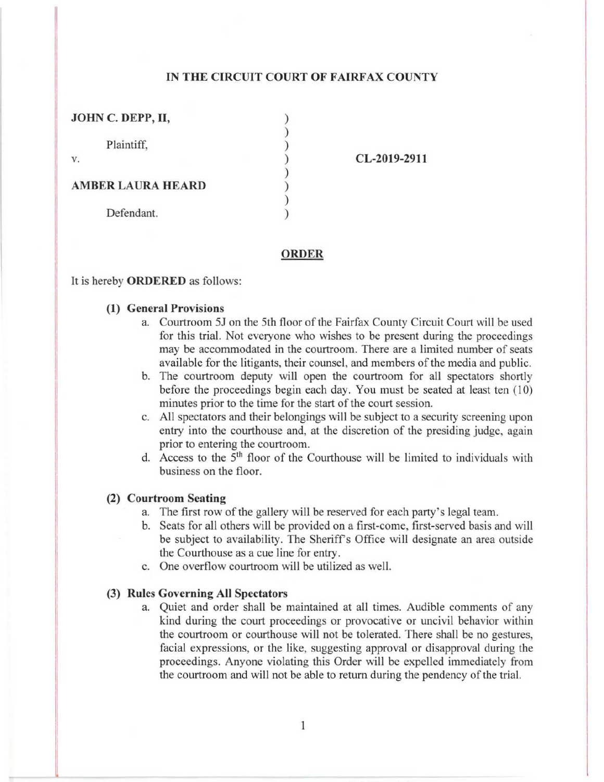# IN THE CIRCUIT COURT OF FAIRFAX COUNTY

| JOHN C. DEPP, II,        |  |
|--------------------------|--|
|                          |  |
| Plaintiff,               |  |
| V.                       |  |
|                          |  |
| <b>AMBER LAURA HEARD</b> |  |
|                          |  |
| Defendant.               |  |
|                          |  |

CL-2019-2911

#### ORDER

### It is hereby **ORDERED** as follows:

## **(1) General Provisions**

- a. Courtroom 5J on the 5th floor of the Fairfax County Circuit Court will be used for this trial. Not everyone who wishes to be present during the proceedings may be accommodated in the courtroom. There are a limited number of seats available for the litigants, their counsel, and members of the media and public.
- b. The courtroom deputy will open the courtroom for all spectators shortly before the proceedings begin each day. You must be seated at least ten (10) minutes prior to the time for the start of the court session.
- c. All spectators and their belongings will be subject to a security screening upon entry into the courthouse and, at the discretion of the presiding judge, again prior to entering the courtroom.
- d. Access to the 5th floor of the Courthouse will be limited to individuals with business on the floor.

#### (2) **Courtroom Seating**

- a. The first row of the gallery will be reserved for each party's legal team.
- b. Seats for all others will be provided on a first-come, first-served basis and will be subject to availability. The Sheriff's Office will designate an area outside the Courthouse as a cue line for entry.
- c. One overflow courtroom will be utilized as well.

# (3) Rules **Governing All Spectators**

a. Quiet and order shall be maintained at all times. Audible comments of any kind during the court proceedings or provocative or uncivil behavior within the courtroom or courthouse will not be tolerated. There shall be no gestures, facial expressions, or the like, suggesting approval or disapproval during the proceedings. Anyone violating this Order will be expelled immediately from the courtroom and will not be able to return during the pendency of the trial.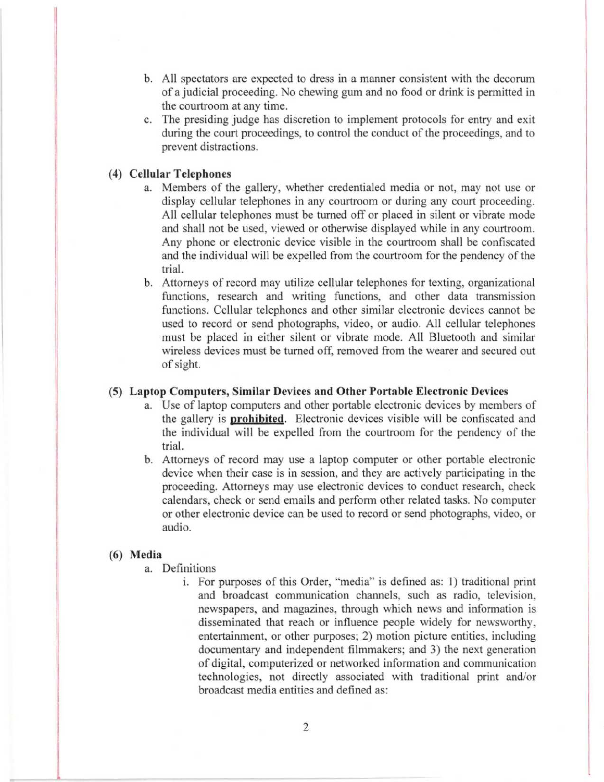- b. All spectators are expected to dress in a manner consistent with the decorum of a judicial proceeding. No chewing gum and no food or drink is permitted in the courtroom at any time.
- c. The presiding judge has discretion to implement protocols for entry and exit during the court proceedings, to control the conduct of the proceedings, and to prevent distractions.

# **(4) Cellular Telephones**

- a. Members of the gallery, whether credentialed media or not, may not use or display cellular telephones in any courtroom or during any court proceeding. All cellular telephones must be turned off or placed in silent or vibrate mode and shall not be used, viewed or otherwise displayed while in any courtroom. Any phone or electronic device visible in the courtroom shall be confiscated and the individual will be expelled from the courtroom for the pendency of the trial.
- b. Attorneys of record may utilize cellular telephones for texting, organizational functions, research and writing functions, and other data transmission functions. Cellular telephones and other similar electronic devices cannot be used to record or send photographs, video, or audio. All cellular telephones must be placed in either silent or vibrate mode. All Bluetooth and similar wireless devices must be turned off, removed from the wearer and secured out of sight.

### (5) **Laptop Computers, Similar Devices and Other Portable Electronic Devices**

- a. Use of laptop computers and other portable electronic devices by members of the gallery is **prohibited.** Electronic devices visible will be confiscated and the individual will be expelled from the courtroom for the pendency of the trial.
- b. Attorneys of record may use a laptop computer or other portable electronic device when their case is in session, and they are actively participating in the proceeding. Attorneys may use electronic devices to conduct research, check calendars, check or send emails and perform other related tasks. No computer or other electronic device can be used to record or send photographs, video, or audio.

## (6) Media

- a. Definitions
	- i. For purposes of this Order, "media" is defined as: 1) traditional print and broadcast communication channels, such as radio, television, newspapers, and magazines, through which news and information is disseminated that reach or influence people widely for newsworthy, entertainment, or other purposes; 2) motion picture entities, including documentary and independent filmmakers; and 3) the next generation of digital, computerized or networked information and communication technologies, not directly associated with traditional print and/or broadcast media entities and defined as: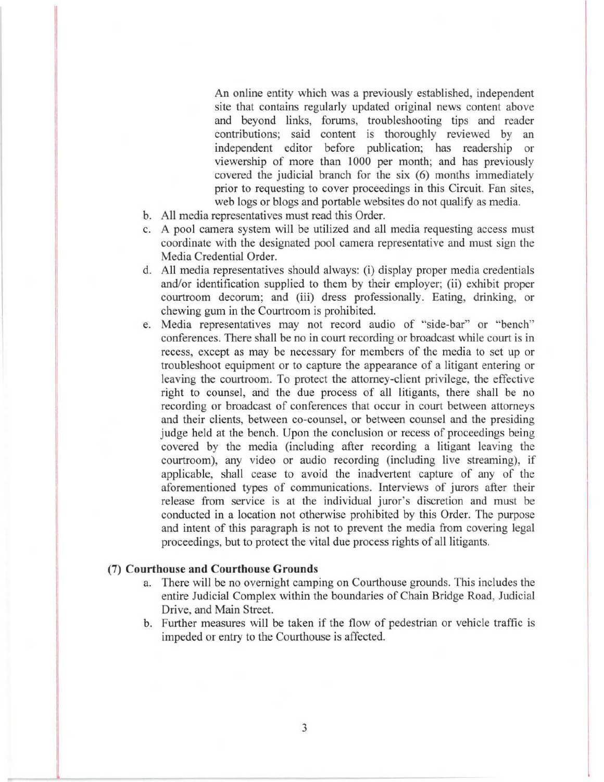An online entity which was a previously established, independent site that contains regularly updated original news content above and beyond links, forums, troubleshooting tips and reader contributions; said content is thoroughly reviewed by an independent editor before publication; has readership or viewership of more than 1000 per month; and has previously covered the judicial branch for the six (6) months immediately prior to requesting to cover proceedings in this Circuit. Fan sites, web logs or blogs and portable websites do not qualify as media.

- b. All media representatives must read this Order.
- c. A pool camera system will be utilized and all media requesting access must coordinate with the designated pool camera representative and must sign the Media Credential Order.
- d. All media representatives should always: (i) display proper media credentials and/or identification supplied to them by their employer; (ii) exhibit proper courtroom decorum; and (iii) dress professionally. Eating, drinking, or chewing gum in the Courtroom is prohibited.
- e. Media representatives may not record audio of "side-bar" or "bench" conferences. There shall be no in court recording or broadcast while court is in recess, except as may be necessary for members of the media to set up or troubleshoot equipment or to capture the appearance of a litigant entering or leaving the courtroom. To protect the attorney-client privilege, the effective right to counsel, and the due process of all litigants, there shall be no recording or broadcast of conferences that occur in court between attorneys and their clients, between co-counsel, or between counsel and the presiding judge held at the bench. Upon the conclusion or recess of proceedings being covered by the media (including after recording a litigant leaving the courtroom), any video or audio recording (including live streaming), if applicable, shall cease to avoid the inadvertent capture of any of the aforementioned types of communications. Interviews of jurors after their release from service is at the individual juror's discretion and must be conducted in a location not otherwise prohibited by this Order. The purpose and intent of this paragraph is not to prevent the media from covering legal proceedings, but to protect the vital due process rights of all litigants.

#### (7) **Courthouse and Courthouse Grounds**

- a. There will be no overnight camping on Courthouse grounds. This includes the entire Judicial Complex within the boundaries of Chain Bridge Road, Judicial Drive, and Main Street.
- b. Further measures will be taken if the flow of pedestrian or vehicle traffic is impeded or entry to the Courthouse is affected.